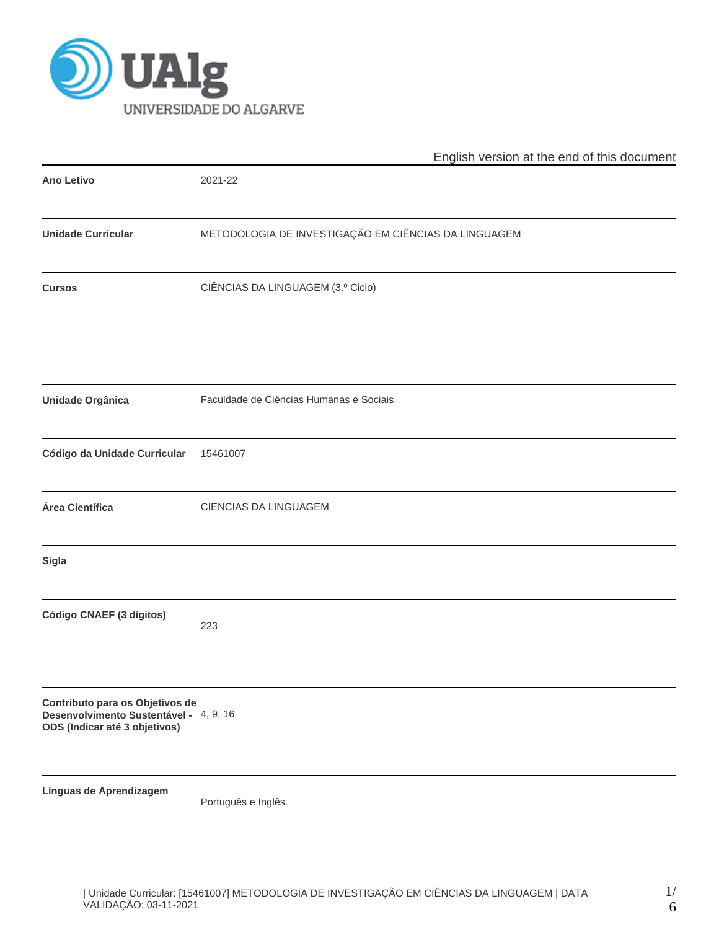

|                                                                                                            | English version at the end of this document          |  |  |  |  |  |  |
|------------------------------------------------------------------------------------------------------------|------------------------------------------------------|--|--|--|--|--|--|
| <b>Ano Letivo</b>                                                                                          | 2021-22                                              |  |  |  |  |  |  |
| <b>Unidade Curricular</b>                                                                                  | METODOLOGIA DE INVESTIGAÇÃO EM CIÊNCIAS DA LINGUAGEM |  |  |  |  |  |  |
| <b>Cursos</b>                                                                                              | CIÊNCIAS DA LINGUAGEM (3.º Ciclo)                    |  |  |  |  |  |  |
| Unidade Orgânica                                                                                           | Faculdade de Ciências Humanas e Sociais              |  |  |  |  |  |  |
| Código da Unidade Curricular                                                                               | 15461007                                             |  |  |  |  |  |  |
| Área Científica                                                                                            | CIENCIAS DA LINGUAGEM                                |  |  |  |  |  |  |
| Sigla                                                                                                      |                                                      |  |  |  |  |  |  |
| Código CNAEF (3 dígitos)                                                                                   | 223                                                  |  |  |  |  |  |  |
| Contributo para os Objetivos de<br>Desenvolvimento Sustentável - 4, 9, 16<br>ODS (Indicar até 3 objetivos) |                                                      |  |  |  |  |  |  |
| Línguas de Aprendizagem                                                                                    | Português e Inglês.                                  |  |  |  |  |  |  |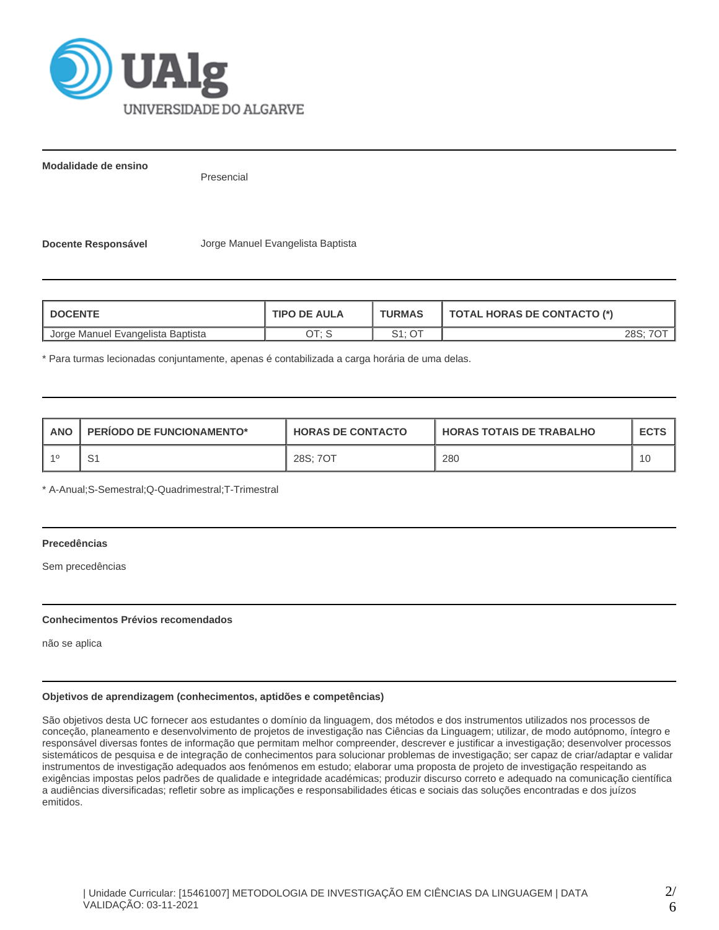

**Modalidade de ensino**

Presencial

**Docente Responsável** Jorge Manuel Evangelista Baptista

| <b>DOCENTE</b>                    | <b>TIPO DE AULA</b> | <b>TURMAS</b>     | <b>TOTAL HORAS DE CONTACTO (*)</b> |
|-----------------------------------|---------------------|-------------------|------------------------------------|
| Jorge Manuel Evangelista Baptista | א ידר               | $C4 \cdot \cap T$ | 28S:                               |

\* Para turmas lecionadas conjuntamente, apenas é contabilizada a carga horária de uma delas.

| <b>ANO</b> | <b>PERIODO DE FUNCIONAMENTO*</b> | <b>HORAS DE CONTACTO</b> | <b>HORAS TOTAIS DE TRABALHO</b> | <b>ECTS</b> |
|------------|----------------------------------|--------------------------|---------------------------------|-------------|
| $-40$      | ັ                                | 28S; 7OT                 | 280                             |             |

\* A-Anual;S-Semestral;Q-Quadrimestral;T-Trimestral

# **Precedências**

Sem precedências

#### **Conhecimentos Prévios recomendados**

não se aplica

## **Objetivos de aprendizagem (conhecimentos, aptidões e competências)**

São objetivos desta UC fornecer aos estudantes o domínio da linguagem, dos métodos e dos instrumentos utilizados nos processos de conceção, planeamento e desenvolvimento de projetos de investigação nas Ciências da Linguagem; utilizar, de modo autópnomo, íntegro e responsável diversas fontes de informação que permitam melhor compreender, descrever e justificar a investigação; desenvolver processos sistemáticos de pesquisa e de integração de conhecimentos para solucionar problemas de investigação; ser capaz de criar/adaptar e validar instrumentos de investigação adequados aos fenómenos em estudo; elaborar uma proposta de projeto de investigação respeitando as exigências impostas pelos padrões de qualidade e integridade académicas; produzir discurso correto e adequado na comunicação científica a audiências diversificadas; refletir sobre as implicações e responsabilidades éticas e sociais das soluções encontradas e dos juízos emitidos.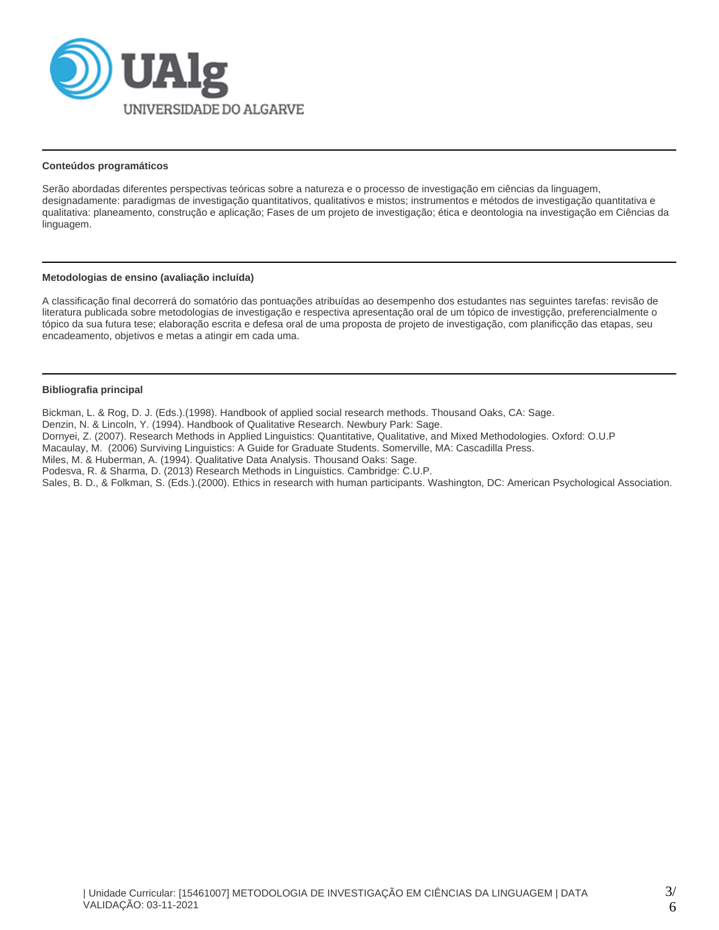

#### **Conteúdos programáticos**

Serão abordadas diferentes perspectivas teóricas sobre a natureza e o processo de investigação em ciências da linguagem, designadamente: paradigmas de investigação quantitativos, qualitativos e mistos; instrumentos e métodos de investigação quantitativa e qualitativa: planeamento, construção e aplicação; Fases de um projeto de investigação; ética e deontologia na investigação em Ciências da linguagem.

#### **Metodologias de ensino (avaliação incluída)**

A classificação final decorrerá do somatório das pontuações atribuídas ao desempenho dos estudantes nas seguintes tarefas: revisão de literatura publicada sobre metodologias de investigação e respectiva apresentação oral de um tópico de investigção, preferencialmente o tópico da sua futura tese; elaboração escrita e defesa oral de uma proposta de projeto de investigação, com planificção das etapas, seu encadeamento, objetivos e metas a atingir em cada uma.

#### **Bibliografia principal**

Bickman, L. & Rog, D. J. (Eds.).(1998). Handbook of applied social research methods. Thousand Oaks, CA: Sage.

Denzin, N. & Lincoln, Y. (1994). Handbook of Qualitative Research. Newbury Park: Sage.

Dornyei, Z. (2007). Research Methods in Applied Linguistics: Quantitative, Qualitative, and Mixed Methodologies. Oxford: O.U.P

Macaulay, M. (2006) Surviving Linguistics: A Guide for Graduate Students. Somerville, MA: Cascadilla Press.

Miles, M. & Huberman, A. (1994). Qualitative Data Analysis. Thousand Oaks: Sage.

Podesva, R. & Sharma, D. (2013) Research Methods in Linguistics. Cambridge: C.U.P.

Sales, B. D., & Folkman, S. (Eds.).(2000). Ethics in research with human participants. Washington, DC: American Psychological Association.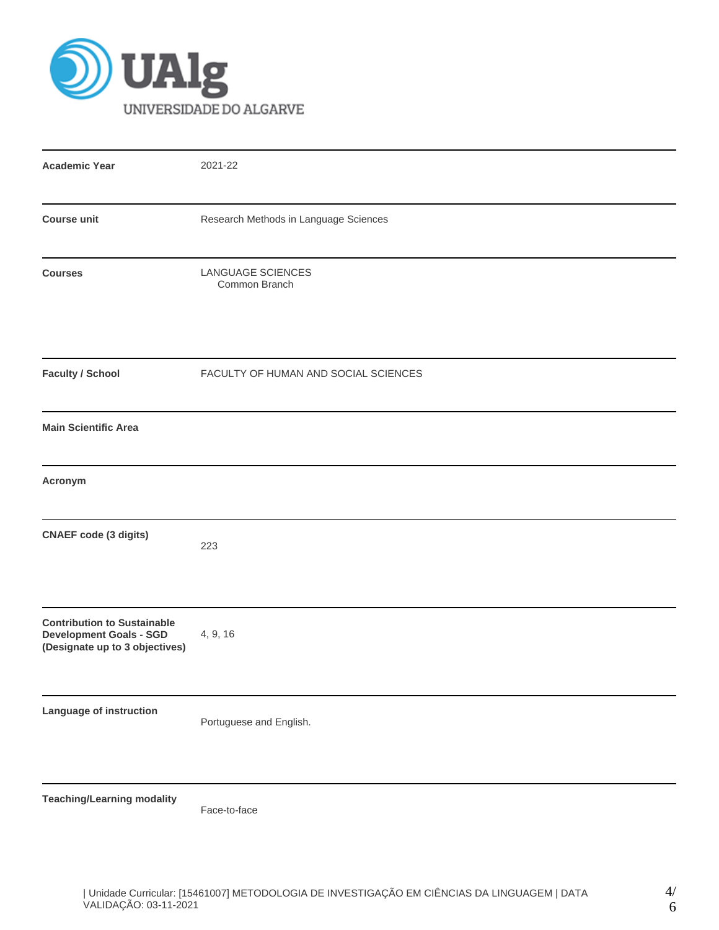

| <b>Academic Year</b>                                                                                   | 2021-22                                   |  |  |  |  |  |
|--------------------------------------------------------------------------------------------------------|-------------------------------------------|--|--|--|--|--|
| <b>Course unit</b>                                                                                     | Research Methods in Language Sciences     |  |  |  |  |  |
| <b>Courses</b>                                                                                         | <b>LANGUAGE SCIENCES</b><br>Common Branch |  |  |  |  |  |
| <b>Faculty / School</b>                                                                                | FACULTY OF HUMAN AND SOCIAL SCIENCES      |  |  |  |  |  |
| <b>Main Scientific Area</b>                                                                            |                                           |  |  |  |  |  |
| Acronym                                                                                                |                                           |  |  |  |  |  |
| <b>CNAEF</b> code (3 digits)                                                                           | 223                                       |  |  |  |  |  |
| <b>Contribution to Sustainable</b><br><b>Development Goals - SGD</b><br>(Designate up to 3 objectives) | 4, 9, 16                                  |  |  |  |  |  |
| Language of instruction                                                                                | Portuguese and English.                   |  |  |  |  |  |
| <b>Teaching/Learning modality</b>                                                                      | Face-to-face                              |  |  |  |  |  |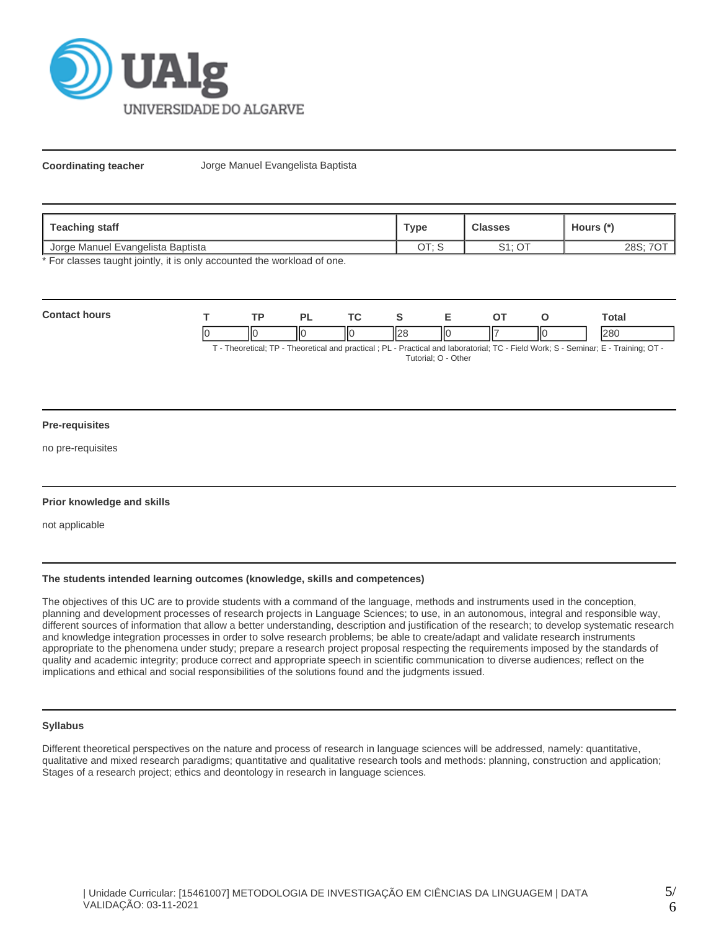

**Coordinating teacher** Jorge Manuel Evangelista Baptista

| Teaching staff                    | <b>Type</b> | <b>Classes</b> | Hours (*' |  |
|-----------------------------------|-------------|----------------|-----------|--|
| Uorge Manuel Evangelista Baptista | ∩т. с       | 0.4.07         | າດຕ.      |  |
|                                   | ◡           | ت              | ∠ం౨       |  |

\* For classes taught jointly, it is only accounted the workload of one.

| Cont |    | TD. |    | <u>те</u> |    |    | <b>otal</b> |
|------|----|-----|----|-----------|----|----|-------------|
|      | ıC |     | ΠС | IЮ        | ШC | ΙЮ | 000         |

T - Theoretical; TP - Theoretical and practical ; PL - Practical and laboratorial; TC - Field Work; S - Seminar; E - Training; OT - Tutorial; O - Other

#### **Pre-requisites**

no pre-requisites

#### **Prior knowledge and skills**

not applicable

# **The students intended learning outcomes (knowledge, skills and competences)**

The objectives of this UC are to provide students with a command of the language, methods and instruments used in the conception, planning and development processes of research projects in Language Sciences; to use, in an autonomous, integral and responsible way, different sources of information that allow a better understanding, description and justification of the research; to develop systematic research and knowledge integration processes in order to solve research problems; be able to create/adapt and validate research instruments appropriate to the phenomena under study; prepare a research project proposal respecting the requirements imposed by the standards of quality and academic integrity; produce correct and appropriate speech in scientific communication to diverse audiences; reflect on the implications and ethical and social responsibilities of the solutions found and the judgments issued.

## **Syllabus**

Different theoretical perspectives on the nature and process of research in language sciences will be addressed, namely: quantitative, qualitative and mixed research paradigms; quantitative and qualitative research tools and methods: planning, construction and application; Stages of a research project; ethics and deontology in research in language sciences.